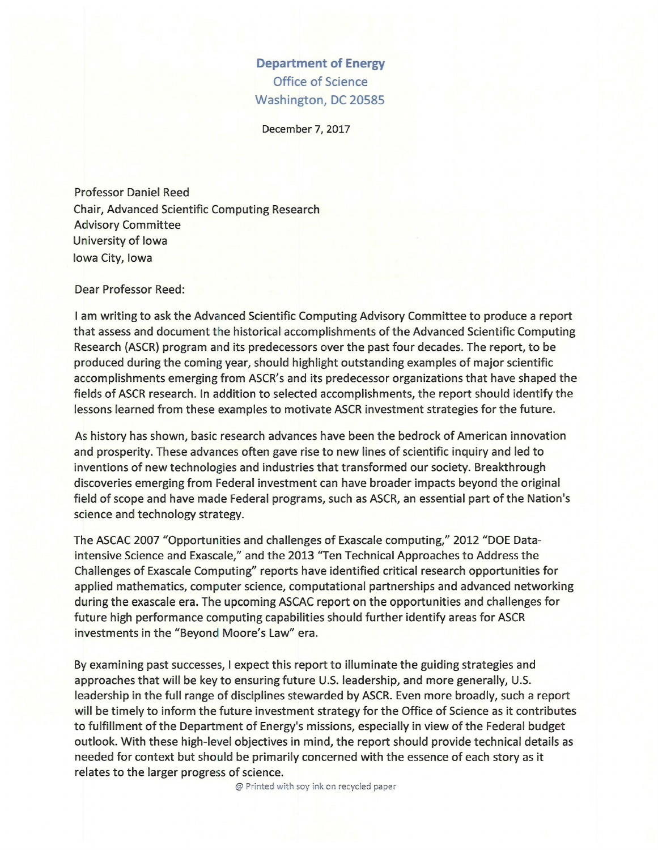## **Department of Energy**  Office of Science Washington, DC 20585

December 7, 2017

Professor Daniel Reed Chair, Advanced Scientific Computing Research Advisory Committee University of Iowa Iowa City, Iowa

Dear Professor Reed:

I am writing to ask the Advanced Scientific Computing Advisory Committee to produce a report that assess and document the historical accomplishments of the Advanced Scientific Computing Research (ASCR) program and its predecessors over the past four decades. The report, to be produced during the coming year, should highlight outstanding examples of major scientific accomplishments emerging from ASCR's and its predecessor organizations that have shaped the fields of ASCR research. In addition to selected accomplishments, the report should identify the lessons learned from these examples to motivate ASCR investment strategies for the future.

As history has shown, basic research advances have been the bedrock of American innovation and prosperity. These advances often gave rise to new lines of scientific inquiry and led to inventions of new technologies and industries that transformed our society. Breakthrough discoveries emerging from Federal investment can have broader impacts beyond the original field of scope and have made Federal programs, such as ASCR, an essential part of the Nation's science and technology strategy.

The ASCAC 2007 "Opportunities and challenges of Exascale computing," 2012 "DOE Dataintensive Science and Exascale," and the 2013 "Ten Technical Approaches to Address the Challenges of Exascale Computing" reports have identified critical research opportunities for applied mathematics, computer science, computational partnerships and advanced networking during the exascale era. The upcoming ASCAC report on the opportunities and challenges for future high performance computing capabilities should further identify areas for ASCR investments in the "Beyond Moore's Law" era.

By examining past successes, I expect this report to illuminate the guiding strategies and approaches that will be key to ensuring future U.S. leadership, and more generally, U.S. leadership in the full range of disciplines stewarded by ASCR. Even more broadly, such a report will be timely to inform the future investment strategy for the Office of Science as it contributes to fulfillment of the Department of Energy's missions, especially in view of the Federal budget outlook. With these high-level objectives in mind, the report should provide technical details as needed for context but should be primarily concerned with the essence of each story as it relates to the larger progress of science.

@ Printed with soy ink on recycled paper